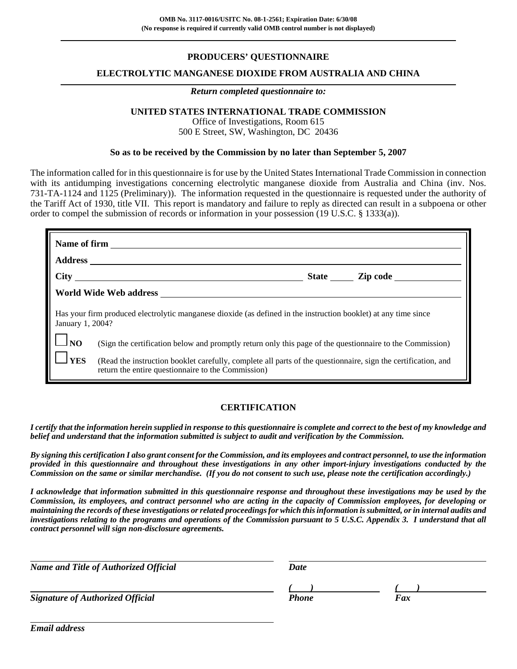## **PRODUCERS' QUESTIONNAIRE**

## **ELECTROLYTIC MANGANESE DIOXIDE FROM AUSTRALIA AND CHINA**

### *Return completed questionnaire to:*

## **UNITED STATES INTERNATIONAL TRADE COMMISSION**

Office of Investigations, Room 615 500 E Street, SW, Washington, DC 20436

## **So as to be received by the Commission by no later than September 5, 2007**

The information called for in this questionnaire is for use by the United States International Trade Commission in connection with its antidumping investigations concerning electrolytic manganese dioxide from Australia and China (inv. Nos. 731-TA-1124 and 1125 (Preliminary)). The information requested in the questionnaire is requested under the authority of the Tariff Act of 1930, title VII. This report is mandatory and failure to reply as directed can result in a subpoena or other order to compel the submission of records or information in your possession (19 U.S.C. § 1333(a)).

| January 1, 2004? | Has your firm produced electrolytic manganese dioxide (as defined in the instruction booklet) at any time since                                                     |
|------------------|---------------------------------------------------------------------------------------------------------------------------------------------------------------------|
| $\frac{1}{1}$ NO | (Sign the certification below and promptly return only this page of the questionnaire to the Commission)                                                            |
| <b>YES</b>       | (Read the instruction booklet carefully, complete all parts of the questionnaire, sign the certification, and<br>return the entire questionnaire to the Commission) |

## **CERTIFICATION**

*I certify that the information herein supplied in response to this questionnaire is complete and correct to the best of my knowledge and belief and understand that the information submitted is subject to audit and verification by the Commission.*

*By signing this certification I also grant consent for the Commission, and its employees and contract personnel, to use the information provided in this questionnaire and throughout these investigations in any other import-injury investigations conducted by the Commission on the same or similar merchandise. (If you do not consent to such use, please note the certification accordingly.)*

*I acknowledge that information submitted in this questionnaire response and throughout these investigations may be used by the Commission, its employees, and contract personnel who are acting in the capacity of Commission employees, for developing or maintaining the records of these investigations or related proceedings for which this information is submitted, or in internal audits and investigations relating to the programs and operations of the Commission pursuant to 5 U.S.C. Appendix 3. I understand that all contract personnel will sign non-disclosure agreements.*

| <b>Name and Title of Authorized Official</b> | Date  |     |  |
|----------------------------------------------|-------|-----|--|
|                                              |       |     |  |
| <b>Signature of Authorized Official</b>      | Phone | Fax |  |

*Email address*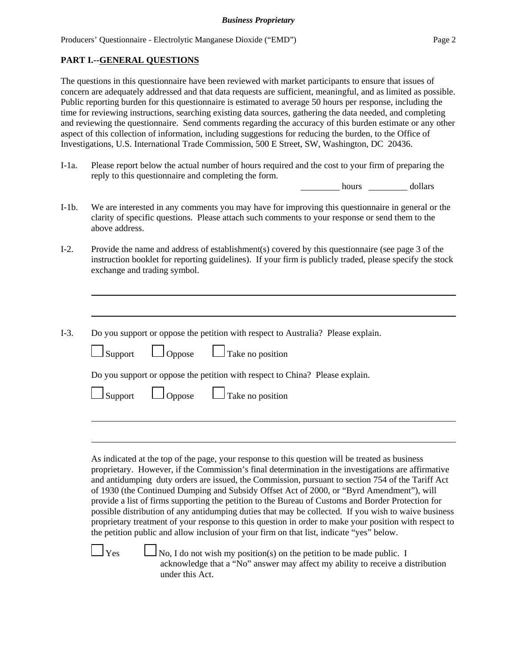## **PART I.--GENERAL QUESTIONS**

The questions in this questionnaire have been reviewed with market participants to ensure that issues of concern are adequately addressed and that data requests are sufficient, meaningful, and as limited as possible. Public reporting burden for this questionnaire is estimated to average 50 hours per response, including the time for reviewing instructions, searching existing data sources, gathering the data needed, and completing and reviewing the questionnaire. Send comments regarding the accuracy of this burden estimate or any other aspect of this collection of information, including suggestions for reducing the burden, to the Office of Investigations, U.S. International Trade Commission, 500 E Street, SW, Washington, DC 20436.

I-1a. Please report below the actual number of hours required and the cost to your firm of preparing the reply to this questionnaire and completing the form.

hours dollars

- I-1b. We are interested in any comments you may have for improving this questionnaire in general or the clarity of specific questions. Please attach such comments to your response or send them to the above address.
- I-2. Provide the name and address of establishment(s) covered by this questionnaire (see page 3 of the instruction booklet for reporting guidelines). If your firm is publicly traded, please specify the stock exchange and trading symbol.
- I-3. Do you support or oppose the petition with respect to Australia? Please explain.

| $\Box$ Support $\Box$ Oppose $\Box$ Take no position                         |  |
|------------------------------------------------------------------------------|--|
| Do you support or oppose the petition with respect to China? Please explain. |  |
| $\Box$ Support $\Box$ Oppose $\Box$ Take no position                         |  |

As indicated at the top of the page, your response to this question will be treated as business proprietary. However, if the Commission's final determination in the investigations are affirmative and antidumping duty orders are issued, the Commission, pursuant to section 754 of the Tariff Act of 1930 (the Continued Dumping and Subsidy Offset Act of 2000, or "Byrd Amendment"), will provide a list of firms supporting the petition to the Bureau of Customs and Border Protection for possible distribution of any antidumping duties that may be collected. If you wish to waive business proprietary treatment of your response to this question in order to make your position with respect to the petition public and allow inclusion of your firm on that list, indicate "yes" below.

 $\Box$  Yes  $\Box$  No, I do not wish my position(s) on the petition to be made public. I acknowledge that a "No" answer may affect my ability to receive a distribution under this Act.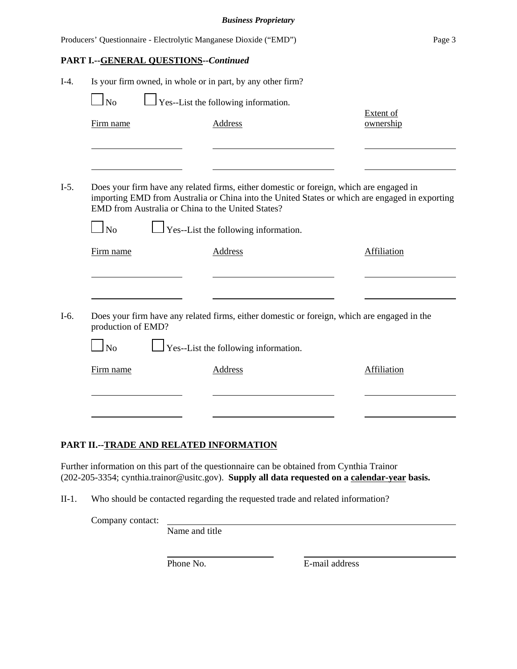|        |                    |                                              | Producers' Questionnaire - Electrolytic Manganese Dioxide ("EMD")                                                                                                                                                                              | Page 3                 |
|--------|--------------------|----------------------------------------------|------------------------------------------------------------------------------------------------------------------------------------------------------------------------------------------------------------------------------------------------|------------------------|
|        |                    | <b>PART I.--GENERAL QUESTIONS--Continued</b> |                                                                                                                                                                                                                                                |                        |
| $I-4.$ |                    |                                              | Is your firm owned, in whole or in part, by any other firm?                                                                                                                                                                                    |                        |
|        | $\Box$ No          |                                              | $\Box$ Yes--List the following information.                                                                                                                                                                                                    |                        |
|        | Firm name          |                                              | <b>Address</b>                                                                                                                                                                                                                                 | Extent of<br>ownership |
|        |                    |                                              |                                                                                                                                                                                                                                                |                        |
| $I-5.$ |                    |                                              | Does your firm have any related firms, either domestic or foreign, which are engaged in<br>importing EMD from Australia or China into the United States or which are engaged in exporting<br>EMD from Australia or China to the United States? |                        |
|        | $\Box$ No          |                                              | $\perp$ Yes--List the following information.                                                                                                                                                                                                   |                        |
|        | Firm name          |                                              | <b>Address</b>                                                                                                                                                                                                                                 | Affiliation            |
|        |                    |                                              |                                                                                                                                                                                                                                                |                        |
| $I-6.$ | production of EMD? |                                              | Does your firm have any related firms, either domestic or foreign, which are engaged in the                                                                                                                                                    |                        |
|        | $\Box$ No          |                                              | $\perp$ Yes--List the following information.                                                                                                                                                                                                   |                        |
|        | Firm name          |                                              | <b>Address</b>                                                                                                                                                                                                                                 | Affiliation            |
|        |                    |                                              |                                                                                                                                                                                                                                                |                        |
|        |                    |                                              |                                                                                                                                                                                                                                                |                        |

## **PART II.--TRADE AND RELATED INFORMATION**

Further information on this part of the questionnaire can be obtained from Cynthia Trainor (202-205-3354; cynthia.trainor@usitc.gov). **Supply all data requested on a calendar-year basis.**

II-1. Who should be contacted regarding the requested trade and related information?

Company contact:

Name and title

Phone No. **E-mail address**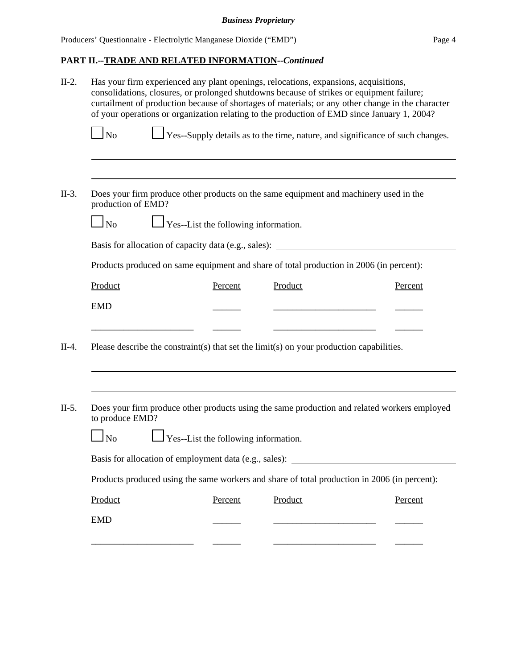# **PART II.--TRADE AND RELATED INFORMATION--***Continued*

|                    | consolidations, closures, or prolonged shutdowns because of strikes or equipment failure;<br>curtailment of production because of shortages of materials; or any other change in the character<br>of your operations or organization relating to the production of EMD since January 1, 2004? |         |         |
|--------------------|-----------------------------------------------------------------------------------------------------------------------------------------------------------------------------------------------------------------------------------------------------------------------------------------------|---------|---------|
| $\Box$ No          | $\Box$ Yes--Supply details as to the time, nature, and significance of such changes.                                                                                                                                                                                                          |         |         |
|                    |                                                                                                                                                                                                                                                                                               |         |         |
| production of EMD? | Does your firm produce other products on the same equipment and machinery used in the                                                                                                                                                                                                         |         |         |
| $\log$             | $\Box$ Yes--List the following information.                                                                                                                                                                                                                                                   |         |         |
|                    | Basis for allocation of capacity data (e.g., sales): ___________________________                                                                                                                                                                                                              |         |         |
|                    | Products produced on same equipment and share of total production in 2006 (in percent):                                                                                                                                                                                                       |         |         |
| Product            | Percent                                                                                                                                                                                                                                                                                       | Product | Percent |
| <b>EMD</b>         |                                                                                                                                                                                                                                                                                               |         |         |
|                    | Please describe the constraint(s) that set the limit(s) on your production capabilities.                                                                                                                                                                                                      |         |         |
|                    |                                                                                                                                                                                                                                                                                               |         |         |
| to produce EMD?    | Does your firm produce other products using the same production and related workers employed                                                                                                                                                                                                  |         |         |
| $\log$             | $\Box$ Yes--List the following information.                                                                                                                                                                                                                                                   |         |         |
|                    | Basis for allocation of employment data (e.g., sales):                                                                                                                                                                                                                                        |         |         |
|                    | Products produced using the same workers and share of total production in 2006 (in percent):                                                                                                                                                                                                  |         |         |
|                    |                                                                                                                                                                                                                                                                                               |         |         |
| Product            | Percent                                                                                                                                                                                                                                                                                       | Product | Percent |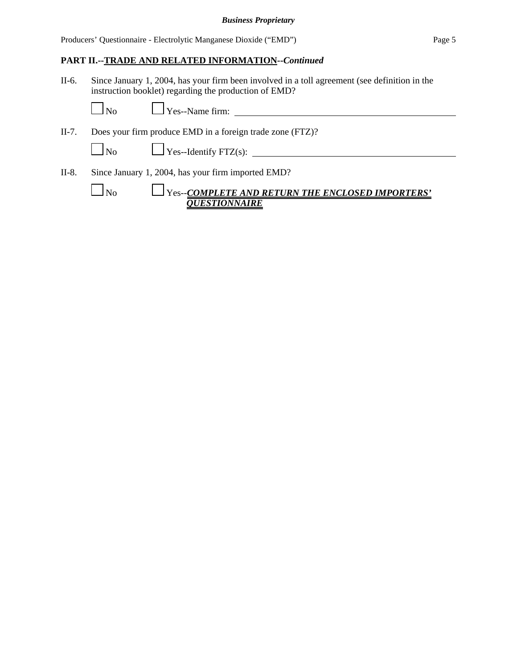## **PART II.--TRADE AND RELATED INFORMATION--***Continued*

II-6. Since January 1, 2004, has your firm been involved in a toll agreement (see definition in the instruction booklet) regarding the production of EMD?

II-7. Does your firm produce EMD in a foreign trade zone (FTZ)?

No Yes--Identify FTZ(s):

II-8. Since January 1, 2004, has your firm imported EMD?

| 1 No | $\Box$ Yes--COMPLETE AND RETURN THE ENCLOSED IMPORTERS' |
|------|---------------------------------------------------------|
|      | OUESTIONNAIRE                                           |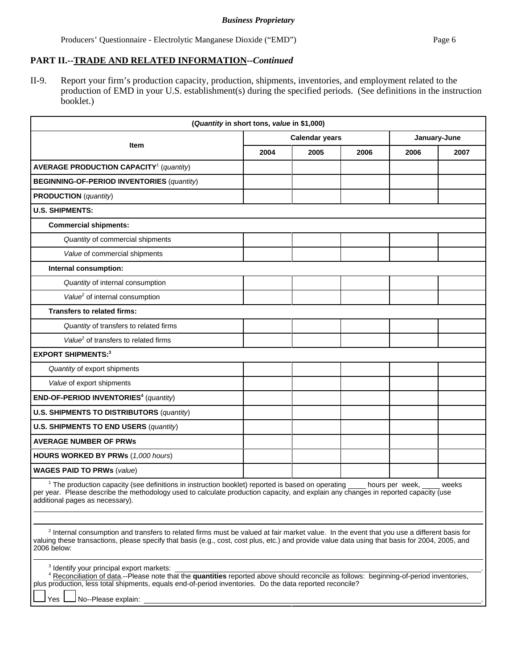# **PART II.--TRADE AND RELATED INFORMATION--***Continued*

II-9. Report your firm's production capacity, production, shipments, inventories, and employment related to the production of EMD in your U.S. establishment(s) during the specified periods. (See definitions in the instruction booklet.)

| (Quantity in short tons, value in \$1,000)                                                                                                                                                                                                                                                                                                |                       |      |      |                 |       |
|-------------------------------------------------------------------------------------------------------------------------------------------------------------------------------------------------------------------------------------------------------------------------------------------------------------------------------------------|-----------------------|------|------|-----------------|-------|
| <b>Item</b>                                                                                                                                                                                                                                                                                                                               | <b>Calendar years</b> |      |      | January-June    |       |
|                                                                                                                                                                                                                                                                                                                                           | 2004                  | 2005 | 2006 | 2006            | 2007  |
| <b>AVERAGE PRODUCTION CAPACITY<sup>1</sup></b> (quantity)                                                                                                                                                                                                                                                                                 |                       |      |      |                 |       |
| <b>BEGINNING-OF-PERIOD INVENTORIES (quantity)</b>                                                                                                                                                                                                                                                                                         |                       |      |      |                 |       |
| <b>PRODUCTION</b> (quantity)                                                                                                                                                                                                                                                                                                              |                       |      |      |                 |       |
| <b>U.S. SHIPMENTS:</b>                                                                                                                                                                                                                                                                                                                    |                       |      |      |                 |       |
| <b>Commercial shipments:</b>                                                                                                                                                                                                                                                                                                              |                       |      |      |                 |       |
| Quantity of commercial shipments                                                                                                                                                                                                                                                                                                          |                       |      |      |                 |       |
| Value of commercial shipments                                                                                                                                                                                                                                                                                                             |                       |      |      |                 |       |
| Internal consumption:                                                                                                                                                                                                                                                                                                                     |                       |      |      |                 |       |
| Quantity of internal consumption                                                                                                                                                                                                                                                                                                          |                       |      |      |                 |       |
| Value <sup>2</sup> of internal consumption                                                                                                                                                                                                                                                                                                |                       |      |      |                 |       |
| <b>Transfers to related firms:</b>                                                                                                                                                                                                                                                                                                        |                       |      |      |                 |       |
| Quantity of transfers to related firms                                                                                                                                                                                                                                                                                                    |                       |      |      |                 |       |
| Value <sup>2</sup> of transfers to related firms                                                                                                                                                                                                                                                                                          |                       |      |      |                 |       |
| <b>EXPORT SHIPMENTS:3</b>                                                                                                                                                                                                                                                                                                                 |                       |      |      |                 |       |
| Quantity of export shipments                                                                                                                                                                                                                                                                                                              |                       |      |      |                 |       |
| Value of export shipments                                                                                                                                                                                                                                                                                                                 |                       |      |      |                 |       |
| END-OF-PERIOD INVENTORIES <sup>4</sup> (quantity)                                                                                                                                                                                                                                                                                         |                       |      |      |                 |       |
| <b>U.S. SHIPMENTS TO DISTRIBUTORS (quantity)</b>                                                                                                                                                                                                                                                                                          |                       |      |      |                 |       |
| <b>U.S. SHIPMENTS TO END USERS (quantity)</b>                                                                                                                                                                                                                                                                                             |                       |      |      |                 |       |
| <b>AVERAGE NUMBER OF PRWS</b>                                                                                                                                                                                                                                                                                                             |                       |      |      |                 |       |
| HOURS WORKED BY PRWs (1,000 hours)                                                                                                                                                                                                                                                                                                        |                       |      |      |                 |       |
| <b>WAGES PAID TO PRWs (value)</b>                                                                                                                                                                                                                                                                                                         |                       |      |      |                 |       |
| <sup>1</sup> The production capacity (see definitions in instruction booklet) reported is based on operating<br>per year. Please describe the methodology used to calculate production capacity, and explain any changes in reported capacity (use<br>additional pages as necessary).                                                     |                       |      |      | hours per week, | weeks |
| <sup>2</sup> Internal consumption and transfers to related firms must be valued at fair market value. In the event that you use a different basis for<br>valuing these transactions, please specify that basis (e.g., cost, cost plus, etc.) and provide value data using that basis for 2004, 2005, and<br>2006 below:                   |                       |      |      |                 |       |
| <sup>3</sup> Identify your principal export markets:<br>4 Reconciliation of data.--Please note that the quantities reported above should reconcile as follows: beginning-of-period inventories,<br>plus production, less total shipments, equals end-of-period inventories. Do the data reported reconcile?<br>No--Please explain:<br>Yes |                       |      |      |                 |       |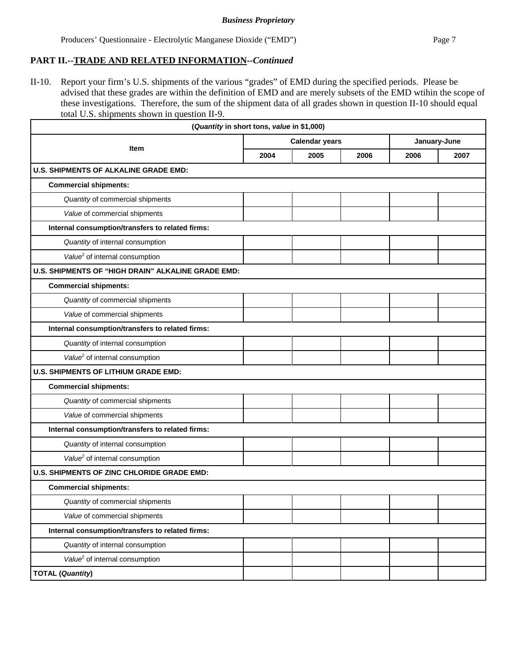## **PART II.--TRADE AND RELATED INFORMATION--***Continued*

II-10. Report your firm's U.S. shipments of the various "grades" of EMD during the specified periods. Please be advised that these grades are within the definition of EMD and are merely subsets of the EMD wtihin the scope of these investigations. Therefore, the sum of the shipment data of all grades shown in question II-10 should equal total U.S. shipments shown in question II-9.

|                                                    | (Quantity in short tons, value in \$1,000) |                       |      |              |      |
|----------------------------------------------------|--------------------------------------------|-----------------------|------|--------------|------|
|                                                    |                                            | <b>Calendar years</b> |      | January-June |      |
| <b>Item</b>                                        | 2004                                       | 2005                  | 2006 | 2006         | 2007 |
| <b>U.S. SHIPMENTS OF ALKALINE GRADE EMD:</b>       |                                            |                       |      |              |      |
| <b>Commercial shipments:</b>                       |                                            |                       |      |              |      |
| Quantity of commercial shipments                   |                                            |                       |      |              |      |
| Value of commercial shipments                      |                                            |                       |      |              |      |
| Internal consumption/transfers to related firms:   |                                            |                       |      |              |      |
| Quantity of internal consumption                   |                                            |                       |      |              |      |
| Value <sup>2</sup> of internal consumption         |                                            |                       |      |              |      |
| U.S. SHIPMENTS OF "HIGH DRAIN" ALKALINE GRADE EMD: |                                            |                       |      |              |      |
| <b>Commercial shipments:</b>                       |                                            |                       |      |              |      |
| Quantity of commercial shipments                   |                                            |                       |      |              |      |
| Value of commercial shipments                      |                                            |                       |      |              |      |
| Internal consumption/transfers to related firms:   |                                            |                       |      |              |      |
| Quantity of internal consumption                   |                                            |                       |      |              |      |
| Value <sup>2</sup> of internal consumption         |                                            |                       |      |              |      |
| <b>U.S. SHIPMENTS OF LITHIUM GRADE EMD:</b>        |                                            |                       |      |              |      |
| <b>Commercial shipments:</b>                       |                                            |                       |      |              |      |
| Quantity of commercial shipments                   |                                            |                       |      |              |      |
| Value of commercial shipments                      |                                            |                       |      |              |      |
| Internal consumption/transfers to related firms:   |                                            |                       |      |              |      |
| Quantity of internal consumption                   |                                            |                       |      |              |      |
| Value <sup>2</sup> of internal consumption         |                                            |                       |      |              |      |
| U.S. SHIPMENTS OF ZINC CHLORIDE GRADE EMD:         |                                            |                       |      |              |      |
| <b>Commercial shipments:</b>                       |                                            |                       |      |              |      |
| Quantity of commercial shipments                   |                                            |                       |      |              |      |
| Value of commercial shipments                      |                                            |                       |      |              |      |
| Internal consumption/transfers to related firms:   |                                            |                       |      |              |      |
| Quantity of internal consumption                   |                                            |                       |      |              |      |
| Value <sup>2</sup> of internal consumption         |                                            |                       |      |              |      |
| <b>TOTAL (Quantity)</b>                            |                                            |                       |      |              |      |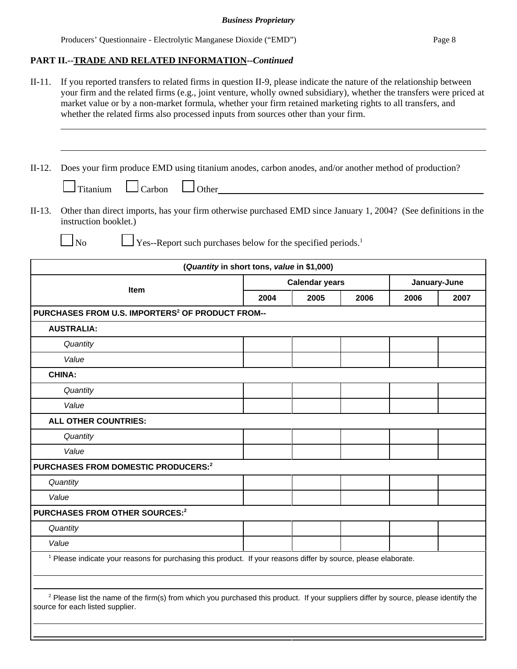# **PART II.--TRADE AND RELATED INFORMATION--***Continued*

| $II-11.$ | If you reported transfers to related firms in question II-9, please indicate the nature of the relationship between<br>your firm and the related firms (e.g., joint venture, wholly owned subsidiary), whether the transfers were priced at<br>market value or by a non-market formula, whether your firm retained marketing rights to all transfers, and<br>whether the related firms also processed inputs from sources other than your firm. |      |                       |      |      |              |
|----------|-------------------------------------------------------------------------------------------------------------------------------------------------------------------------------------------------------------------------------------------------------------------------------------------------------------------------------------------------------------------------------------------------------------------------------------------------|------|-----------------------|------|------|--------------|
| $II-12.$ | Does your firm produce EMD using titanium anodes, carbon anodes, and/or another method of production?<br>$\Box$ Other<br>$\Box$ Carbon<br>$\Box$ Titanium                                                                                                                                                                                                                                                                                       |      |                       |      |      |              |
| $II-13.$ | Other than direct imports, has your firm otherwise purchased EMD since January 1, 2004? (See definitions in the<br>instruction booklet.)                                                                                                                                                                                                                                                                                                        |      |                       |      |      |              |
|          | $\Box$ Yes--Report such purchases below for the specified periods. <sup>1</sup><br>$\Box$ No                                                                                                                                                                                                                                                                                                                                                    |      |                       |      |      |              |
|          | (Quantity in short tons, value in \$1,000)                                                                                                                                                                                                                                                                                                                                                                                                      |      |                       |      |      |              |
|          |                                                                                                                                                                                                                                                                                                                                                                                                                                                 |      | <b>Calendar years</b> |      |      | January-June |
|          | <b>Item</b>                                                                                                                                                                                                                                                                                                                                                                                                                                     | 2004 | 2005                  | 2006 | 2006 | 2007         |
|          | PURCHASES FROM U.S. IMPORTERS <sup>2</sup> OF PRODUCT FROM--                                                                                                                                                                                                                                                                                                                                                                                    |      |                       |      |      |              |
|          | <b>AUSTRALIA:</b>                                                                                                                                                                                                                                                                                                                                                                                                                               |      |                       |      |      |              |
|          | Quantity                                                                                                                                                                                                                                                                                                                                                                                                                                        |      |                       |      |      |              |
|          | Value                                                                                                                                                                                                                                                                                                                                                                                                                                           |      |                       |      |      |              |
|          | <b>CHINA:</b>                                                                                                                                                                                                                                                                                                                                                                                                                                   |      |                       |      |      |              |
|          | Quantity                                                                                                                                                                                                                                                                                                                                                                                                                                        |      |                       |      |      |              |
|          | Value                                                                                                                                                                                                                                                                                                                                                                                                                                           |      |                       |      |      |              |
|          | ALL OTHER COUNTRIES:                                                                                                                                                                                                                                                                                                                                                                                                                            |      |                       |      |      |              |
|          | Quantity                                                                                                                                                                                                                                                                                                                                                                                                                                        |      |                       |      |      |              |
|          | Value                                                                                                                                                                                                                                                                                                                                                                                                                                           |      |                       |      |      |              |
|          | PURCHASES FROM DOMESTIC PRODUCERS: <sup>2</sup>                                                                                                                                                                                                                                                                                                                                                                                                 |      |                       |      |      |              |
|          | Quantity                                                                                                                                                                                                                                                                                                                                                                                                                                        |      |                       |      |      |              |
|          | Value                                                                                                                                                                                                                                                                                                                                                                                                                                           |      |                       |      |      |              |
|          | PURCHASES FROM OTHER SOURCES:2                                                                                                                                                                                                                                                                                                                                                                                                                  |      |                       |      |      |              |
|          | Quantity                                                                                                                                                                                                                                                                                                                                                                                                                                        |      |                       |      |      |              |
|          | Value                                                                                                                                                                                                                                                                                                                                                                                                                                           |      |                       |      |      |              |
|          | <sup>1</sup> Please indicate your reasons for purchasing this product. If your reasons differ by source, please elaborate.                                                                                                                                                                                                                                                                                                                      |      |                       |      |      |              |
|          | <sup>2</sup> Please list the name of the firm(s) from which you purchased this product. If your suppliers differ by source, please identify the<br>source for each listed supplier.                                                                                                                                                                                                                                                             |      |                       |      |      |              |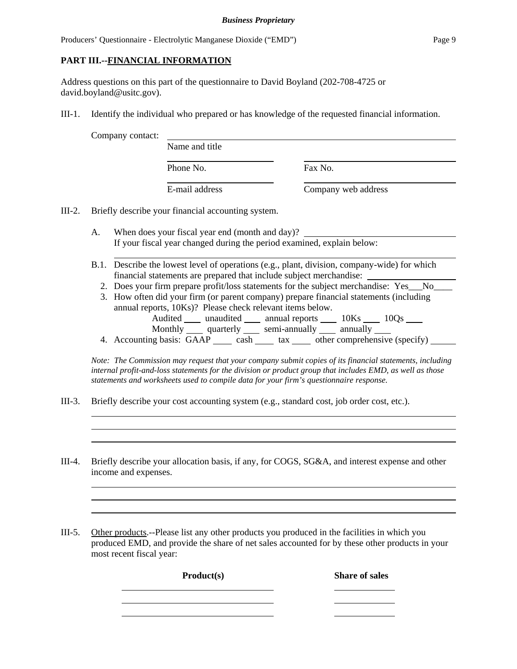## **PART III.--FINANCIAL INFORMATION**

Address questions on this part of the questionnaire to David Boyland (202-708-4725 or david.boyland@usitc.gov).

III-1. Identify the individual who prepared or has knowledge of the requested financial information.

Company contact:

| Name and title |                     |
|----------------|---------------------|
| Phone No.      | Fax No.             |
| E-mail address | Company web address |

III-2. Briefly describe your financial accounting system.

- A. When does your fiscal year end (month and day)? If your fiscal year changed during the period examined, explain below:
- B.1. Describe the lowest level of operations (e.g., plant, division, company-wide) for which financial statements are prepared that include subject merchandise:
	- 2. Does your firm prepare profit/loss statements for the subject merchandise: Yes\_\_\_No\_\_\_\_\_
	- 3. How often did your firm (or parent company) prepare financial statements (including annual reports, 10Ks)? Please check relevant items below. Audited \_\_\_\_ unaudited \_\_\_\_ annual reports \_\_\_\_ 10Ks \_\_\_\_ 10Qs \_\_\_\_ Monthly quarterly semi-annually annually
	- 4. Accounting basis:  $\overrightarrow{GAP}$  cash tax other comprehensive (specify)

*Note: The Commission may request that your company submit copies of its financial statements, including internal profit-and-loss statements for the division or product group that includes EMD, as well as those statements and worksheets used to compile data for your firm's questionnaire response.*

- III-3. Briefly describe your cost accounting system (e.g., standard cost, job order cost, etc.).
- III-4. Briefly describe your allocation basis, if any, for COGS, SG&A, and interest expense and other income and expenses.

III-5. Other products.--Please list any other products you produced in the facilities in which you produced EMD, and provide the share of net sales accounted for by these other products in your most recent fiscal year:

Product(s) Share of sales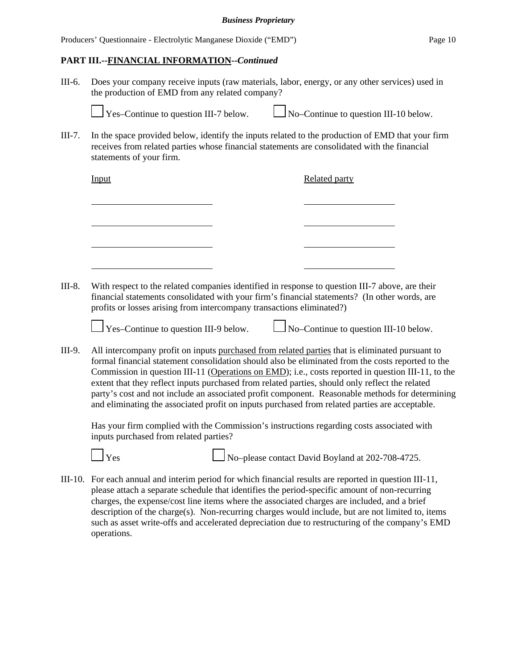## **PART III.--FINANCIAL INFORMATION--***Continued*

III-6. Does your company receive inputs (raw materials, labor, energy, or any other services) used in the production of EMD from any related company?

Yes–Continue to question III-7 below.  $\Box$  No–Continue to question III-10 below.

III-7. In the space provided below, identify the inputs related to the production of EMD that your firm receives from related parties whose financial statements are consolidated with the financial statements of your firm.

| Input | <b>Related party</b> |
|-------|----------------------|
|       |                      |
|       |                      |
|       |                      |
|       |                      |
|       |                      |

III-8. With respect to the related companies identified in response to question III-7 above, are their financial statements consolidated with your firm's financial statements? (In other words, are profits or losses arising from intercompany transactions eliminated?)

 $\frac{1}{1}$  Yes–Continue to question III-9 below.  $\frac{1}{1}$  No–Continue to question III-10 below.

III-9. All intercompany profit on inputs purchased from related parties that is eliminated pursuant to formal financial statement consolidation should also be eliminated from the costs reported to the Commission in question III-11 (Operations on EMD); i.e., costs reported in question III-11, to the extent that they reflect inputs purchased from related parties, should only reflect the related party's cost and not include an associated profit component. Reasonable methods for determining and eliminating the associated profit on inputs purchased from related parties are acceptable.

Has your firm complied with the Commission's instructions regarding costs associated with inputs purchased from related parties?



 $\Box$  Yes  $\Box$  No–please contact David Boyland at 202-708-4725.

III-10. For each annual and interim period for which financial results are reported in question III-11, please attach a separate schedule that identifies the period-specific amount of non-recurring charges, the expense/cost line items where the associated charges are included, and a brief description of the charge(s). Non-recurring charges would include, but are not limited to, items such as asset write-offs and accelerated depreciation due to restructuring of the company's EMD operations.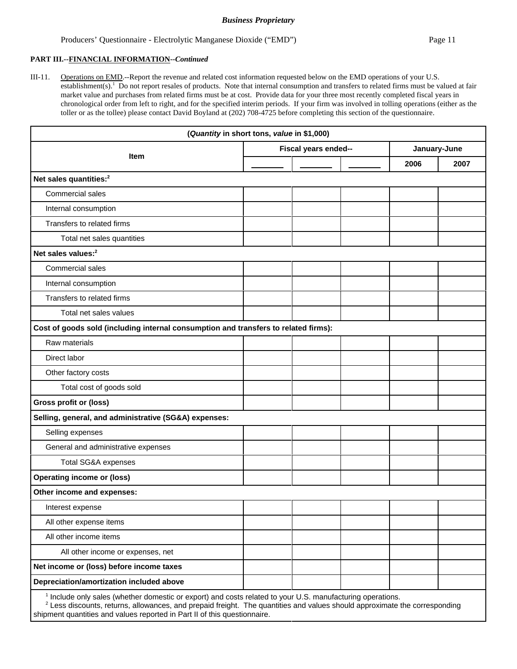#### Producers' Questionnaire - Electrolytic Manganese Dioxide ("EMD") Page 11

#### **PART III.--FINANCIAL INFORMATION--***Continued*

III-11. Operations on EMD.--Report the revenue and related cost information requested below on the EMD operations of your U.S. establishment(s).<sup>1</sup> Do not report resales of products. Note that internal consumption and transfers to related firms must be valued at fair market value and purchases from related firms must be at cost. Provide data for your three most recently completed fiscal years in chronological order from left to right, and for the specified interim periods. If your firm was involved in tolling operations (either as the toller or as the tollee) please contact David Boyland at (202) 708-4725 before completing this section of the questionnaire.

| (Quantity in short tons, value in \$1,000)                                                                 |                      |  |              |      |
|------------------------------------------------------------------------------------------------------------|----------------------|--|--------------|------|
|                                                                                                            | Fiscal years ended-- |  | January-June |      |
| <b>Item</b>                                                                                                |                      |  | 2006         | 2007 |
| Net sales quantities: <sup>2</sup>                                                                         |                      |  |              |      |
| Commercial sales                                                                                           |                      |  |              |      |
| Internal consumption                                                                                       |                      |  |              |      |
| Transfers to related firms                                                                                 |                      |  |              |      |
| Total net sales quantities                                                                                 |                      |  |              |      |
| Net sales values: <sup>2</sup>                                                                             |                      |  |              |      |
| <b>Commercial sales</b>                                                                                    |                      |  |              |      |
| Internal consumption                                                                                       |                      |  |              |      |
| Transfers to related firms                                                                                 |                      |  |              |      |
| Total net sales values                                                                                     |                      |  |              |      |
| Cost of goods sold (including internal consumption and transfers to related firms):                        |                      |  |              |      |
| Raw materials                                                                                              |                      |  |              |      |
| Direct labor                                                                                               |                      |  |              |      |
| Other factory costs                                                                                        |                      |  |              |      |
| Total cost of goods sold                                                                                   |                      |  |              |      |
| <b>Gross profit or (loss)</b>                                                                              |                      |  |              |      |
| Selling, general, and administrative (SG&A) expenses:                                                      |                      |  |              |      |
| Selling expenses                                                                                           |                      |  |              |      |
| General and administrative expenses                                                                        |                      |  |              |      |
| Total SG&A expenses                                                                                        |                      |  |              |      |
| <b>Operating income or (loss)</b>                                                                          |                      |  |              |      |
| Other income and expenses:                                                                                 |                      |  |              |      |
| Interest expense                                                                                           |                      |  |              |      |
| All other expense items                                                                                    |                      |  |              |      |
| All other income items                                                                                     |                      |  |              |      |
| All other income or expenses, net                                                                          |                      |  |              |      |
| Net income or (loss) before income taxes                                                                   |                      |  |              |      |
| Depreciation/amortization included above                                                                   |                      |  |              |      |
| I politica only solar (whather demostic ar expert) and easte related to your LLS, menufacturing eperations |                      |  |              |      |

1 Include only sales (whether domestic or export) and costs related to your U.S. manufacturing operations.

 $2$  Less discounts, returns, allowances, and prepaid freight. The quantities and values should approximate the corresponding shipment quantities and values reported in Part II of this questionnaire.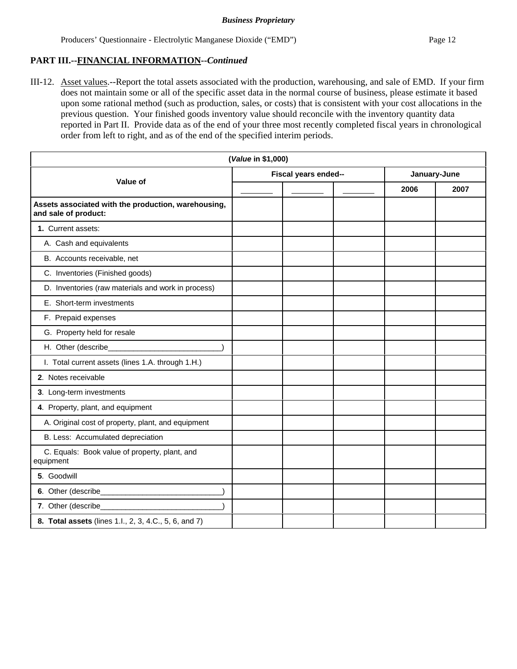## **PART III.--FINANCIAL INFORMATION--***Continued*

III-12. Asset values.--Report the total assets associated with the production, warehousing, and sale of EMD. If your firm does not maintain some or all of the specific asset data in the normal course of business, please estimate it based upon some rational method (such as production, sales, or costs) that is consistent with your cost allocations in the previous question. Your finished goods inventory value should reconcile with the inventory quantity data reported in Part II. Provide data as of the end of your three most recently completed fiscal years in chronological order from left to right, and as of the end of the specified interim periods.

| (Value in \$1,000)                                                          |                      |  |              |      |
|-----------------------------------------------------------------------------|----------------------|--|--------------|------|
| Value of                                                                    | Fiscal years ended-- |  | January-June |      |
|                                                                             |                      |  | 2006         | 2007 |
| Assets associated with the production, warehousing,<br>and sale of product: |                      |  |              |      |
| 1. Current assets:                                                          |                      |  |              |      |
| A. Cash and equivalents                                                     |                      |  |              |      |
| B. Accounts receivable, net                                                 |                      |  |              |      |
| C. Inventories (Finished goods)                                             |                      |  |              |      |
| D. Inventories (raw materials and work in process)                          |                      |  |              |      |
| E. Short-term investments                                                   |                      |  |              |      |
| F. Prepaid expenses                                                         |                      |  |              |      |
| G. Property held for resale                                                 |                      |  |              |      |
| H. Other (describe_                                                         |                      |  |              |      |
| I. Total current assets (lines 1.A. through 1.H.)                           |                      |  |              |      |
| 2. Notes receivable                                                         |                      |  |              |      |
| 3. Long-term investments                                                    |                      |  |              |      |
| 4. Property, plant, and equipment                                           |                      |  |              |      |
| A. Original cost of property, plant, and equipment                          |                      |  |              |      |
| B. Less: Accumulated depreciation                                           |                      |  |              |      |
| C. Equals: Book value of property, plant, and<br>equipment                  |                      |  |              |      |
| 5. Goodwill                                                                 |                      |  |              |      |
|                                                                             |                      |  |              |      |
| 7. Other (describe_                                                         |                      |  |              |      |
| 8. Total assets (lines 1.l., 2, 3, 4.C., 5, 6, and 7)                       |                      |  |              |      |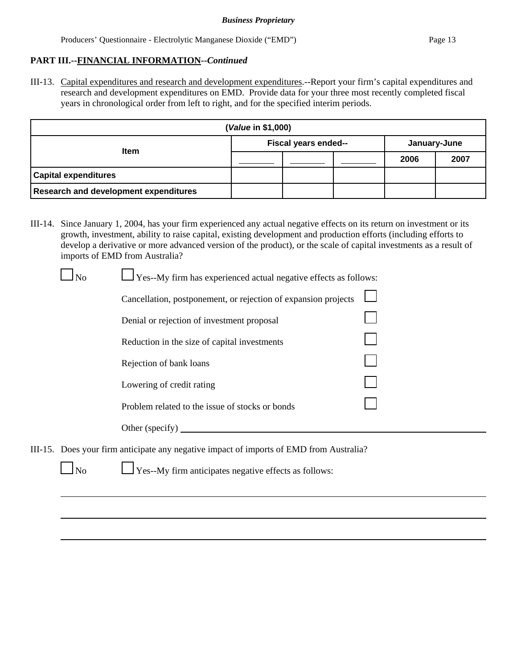## **PART III.--FINANCIAL INFORMATION--***Continued*

III-13. Capital expenditures and research and development expenditures.--Report your firm's capital expenditures and research and development expenditures on EMD. Provide data for your three most recently completed fiscal years in chronological order from left to right, and for the specified interim periods.

| (Value in \$1,000)                           |                      |  |              |      |      |
|----------------------------------------------|----------------------|--|--------------|------|------|
|                                              | Fiscal years ended-- |  | January-June |      |      |
| <b>Item</b>                                  |                      |  |              | 2006 | 2007 |
| <b>Capital expenditures</b>                  |                      |  |              |      |      |
| <b>Research and development expenditures</b> |                      |  |              |      |      |

III-14. Since January 1, 2004, has your firm experienced any actual negative effects on its return on investment or its growth, investment, ability to raise capital, existing development and production efforts (including efforts to develop a derivative or more advanced version of the product), or the scale of capital investments as a result of imports of EMD from Australia?

| N <sub>o</sub> | $\Box$ Yes--My firm has experienced actual negative effects as follows:                 |  |
|----------------|-----------------------------------------------------------------------------------------|--|
|                | Cancellation, postponement, or rejection of expansion projects                          |  |
|                | Denial or rejection of investment proposal                                              |  |
|                | Reduction in the size of capital investments                                            |  |
|                | Rejection of bank loans                                                                 |  |
|                | Lowering of credit rating                                                               |  |
|                | Problem related to the issue of stocks or bonds                                         |  |
|                | Other (specify) $\qquad \qquad$                                                         |  |
|                | $\Omega$ oes your firm anticinate any negative impact of imports of EMD from Australia? |  |

III-15. Does your firm anticipate any negative impact of imports of EMD from Australia?

 $\Box$  Yes--My firm anticipates negative effects as follows: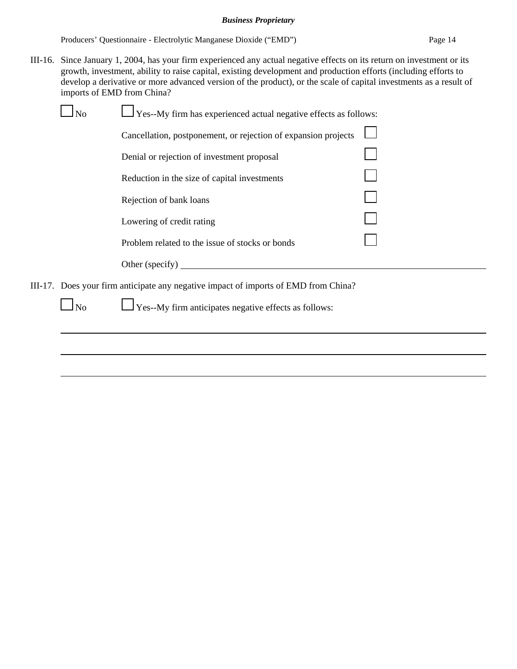Producers' Questionnaire - Electrolytic Manganese Dioxide ("EMD") Page 14

III-16. Since January 1, 2004, has your firm experienced any actual negative effects on its return on investment or its growth, investment, ability to raise capital, existing development and production efforts (including efforts to develop a derivative or more advanced version of the product), or the scale of capital investments as a result of imports of EMD from China?

| No             | $\sqrt{1 + 2}$ Yes--My firm has experienced actual negative effects as follows:     |  |
|----------------|-------------------------------------------------------------------------------------|--|
|                | Cancellation, postponement, or rejection of expansion projects                      |  |
|                | Denial or rejection of investment proposal                                          |  |
|                | Reduction in the size of capital investments                                        |  |
|                | Rejection of bank loans                                                             |  |
|                | Lowering of credit rating                                                           |  |
|                | Problem related to the issue of stocks or bonds                                     |  |
|                | Other (specify)                                                                     |  |
|                | III-17. Does your firm anticipate any negative impact of imports of EMD from China? |  |
| N <sub>o</sub> | $\Gamma$ Yes--My firm anticipates negative effects as follows:                      |  |
|                |                                                                                     |  |
|                |                                                                                     |  |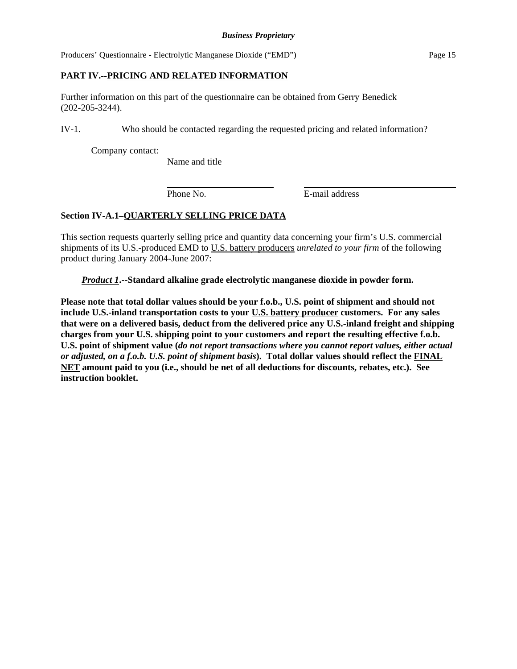## **PART IV.--PRICING AND RELATED INFORMATION**

Further information on this part of the questionnaire can be obtained from Gerry Benedick (202-205-3244).

IV-1. Who should be contacted regarding the requested pricing and related information?

Company contact:

Name and title

Phone No. **E**-mail address

## **Section IV-A.1–QUARTERLY SELLING PRICE DATA**

This section requests quarterly selling price and quantity data concerning your firm's U.S. commercial shipments of its U.S.-produced EMD to U.S. battery producers *unrelated to your firm* of the following product during January 2004-June 2007:

*Product 1***.--Standard alkaline grade electrolytic manganese dioxide in powder form.** 

**Please note that total dollar values should be your f.o.b., U.S. point of shipment and should not include U.S.-inland transportation costs to your U.S. battery producer customers. For any sales that were on a delivered basis, deduct from the delivered price any U.S.-inland freight and shipping charges from your U.S. shipping point to your customers and report the resulting effective f.o.b. U.S. point of shipment value (***do not report transactions where you cannot report values, either actual or adjusted, on a f.o.b. U.S. point of shipment basis***). Total dollar values should reflect the FINAL NET amount paid to you (i.e., should be net of all deductions for discounts, rebates, etc.). See instruction booklet.**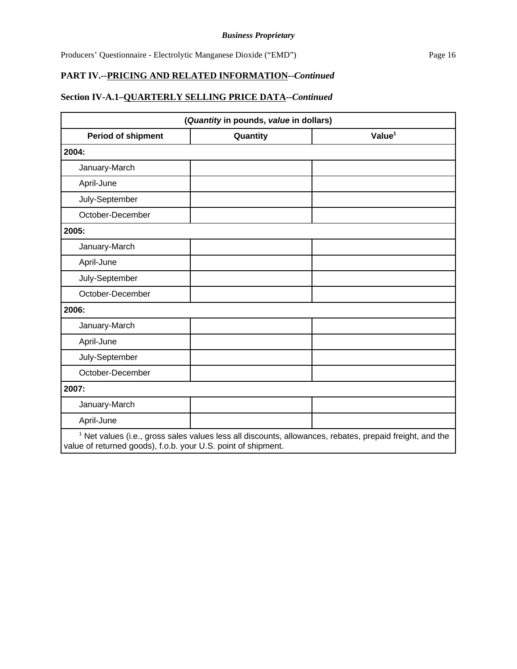# **Section IV-A.1–QUARTERLY SELLING PRICE DATA--***Continued*

| (Quantity in pounds, value in dollars) |          |                    |
|----------------------------------------|----------|--------------------|
| <b>Period of shipment</b>              | Quantity | Value <sup>1</sup> |
| 2004:                                  |          |                    |
| January-March                          |          |                    |
| April-June                             |          |                    |
| July-September                         |          |                    |
| October-December                       |          |                    |
| 2005:                                  |          |                    |
| January-March                          |          |                    |
| April-June                             |          |                    |
| July-September                         |          |                    |
| October-December                       |          |                    |
| 2006:                                  |          |                    |
| January-March                          |          |                    |
| April-June                             |          |                    |
| July-September                         |          |                    |
| October-December                       |          |                    |
| 2007:                                  |          |                    |
| January-March                          |          |                    |
| April-June                             |          |                    |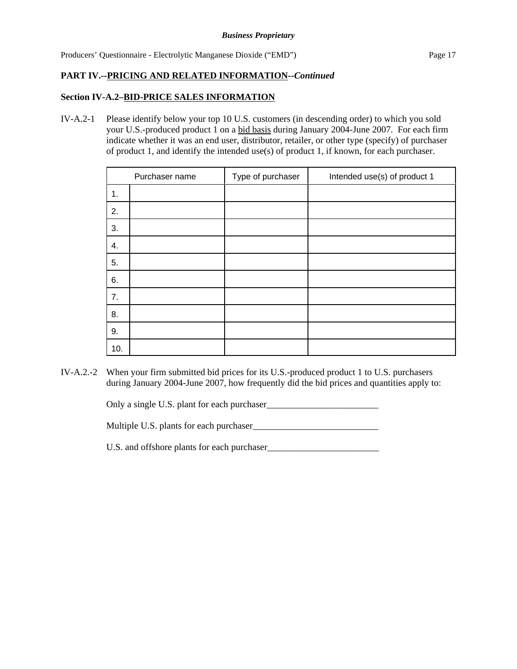## **Section IV-A.2–BID-PRICE SALES INFORMATION**

IV-A.2-1 Please identify below your top 10 U.S. customers (in descending order) to which you sold your U.S.-produced product 1 on a bid basis during January 2004-June 2007. For each firm indicate whether it was an end user, distributor, retailer, or other type (specify) of purchaser of product 1, and identify the intended use(s) of product 1, if known, for each purchaser.

|     | Purchaser name | Type of purchaser | Intended use(s) of product 1 |
|-----|----------------|-------------------|------------------------------|
| 1.  |                |                   |                              |
| 2.  |                |                   |                              |
| 3.  |                |                   |                              |
| 4.  |                |                   |                              |
| 5.  |                |                   |                              |
| 6.  |                |                   |                              |
| 7.  |                |                   |                              |
| 8.  |                |                   |                              |
| 9.  |                |                   |                              |
| 10. |                |                   |                              |

IV-A.2.-2 When your firm submitted bid prices for its U.S.-produced product 1 to U.S. purchasers during January 2004-June 2007, how frequently did the bid prices and quantities apply to:

Only a single U.S. plant for each purchaser\_\_\_\_\_\_\_\_\_\_\_\_\_\_\_\_\_\_\_\_\_\_\_\_

Multiple U.S. plants for each purchaser\_\_\_\_\_\_\_\_\_\_\_\_\_\_\_\_\_\_\_\_\_\_\_\_\_\_\_

U.S. and offshore plants for each purchaser\_\_\_\_\_\_\_\_\_\_\_\_\_\_\_\_\_\_\_\_\_\_\_\_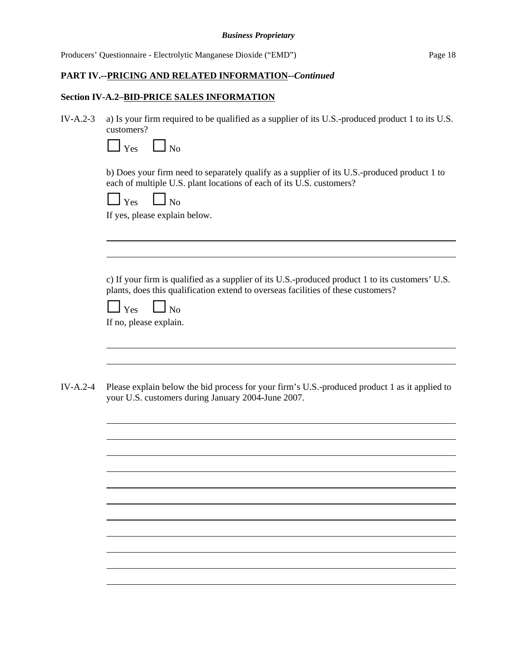| Producers' Questionnaire - Electrolytic Manganese Dioxide ("EMD") | Page 18 |
|-------------------------------------------------------------------|---------|
|                                                                   |         |
|                                                                   |         |

# **Section IV-A.2–BID-PRICE SALES INFORMATION**

| $IV-A.2-3$ | a) Is your firm required to be qualified as a supplier of its U.S.-produced product 1 to its U.S.<br>customers?                                                                       |
|------------|---------------------------------------------------------------------------------------------------------------------------------------------------------------------------------------|
|            | $\Box$ No<br>$\Box$ Yes                                                                                                                                                               |
|            | b) Does your firm need to separately qualify as a supplier of its U.S.-produced product 1 to<br>each of multiple U.S. plant locations of each of its U.S. customers?                  |
|            | $\Box$ Yes $\Box$ No<br>If yes, please explain below.                                                                                                                                 |
|            |                                                                                                                                                                                       |
|            |                                                                                                                                                                                       |
|            | c) If your firm is qualified as a supplier of its U.S.-produced product 1 to its customers' U.S.<br>plants, does this qualification extend to overseas facilities of these customers? |
|            | $\Box$ Yes<br>$\Box$ No<br>If no, please explain.                                                                                                                                     |
|            |                                                                                                                                                                                       |
|            |                                                                                                                                                                                       |
| $IV-A.2-4$ | Please explain below the bid process for your firm's U.S.-produced product 1 as it applied to<br>your U.S. customers during January 2004-June 2007.                                   |
|            |                                                                                                                                                                                       |
|            |                                                                                                                                                                                       |
|            |                                                                                                                                                                                       |
|            |                                                                                                                                                                                       |
|            |                                                                                                                                                                                       |
|            |                                                                                                                                                                                       |
|            |                                                                                                                                                                                       |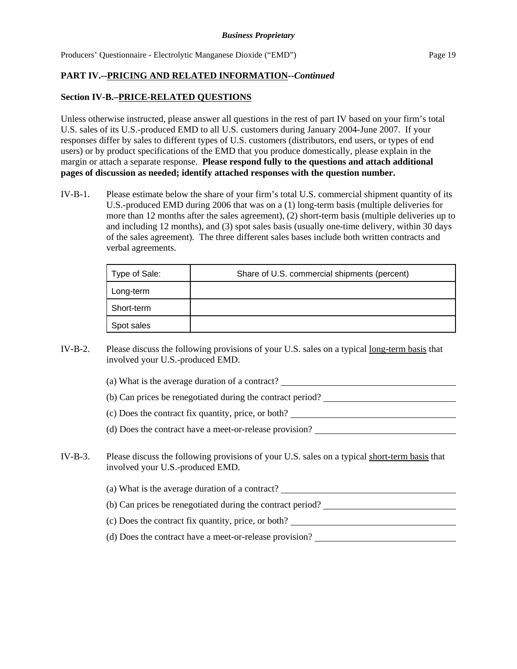## **PART IV.--PRICING AND RELATED INFORMATION--***Continued*

## **Section IV-B.–PRICE-RELATED QUESTIONS**

Unless otherwise instructed, please answer all questions in the rest of part IV based on your firm's total U.S. sales of its U.S.-produced EMD to all U.S. customers during January 2004-June 2007. If your responses differ by sales to different types of U.S. customers (distributors, end users, or types of end users) or by product specifications of the EMD that you produce domestically, please explain in the margin or attach a separate response. **Please respond fully to the questions and attach additional pages of discussion as needed; identify attached responses with the question number.**

IV-B-1. Please estimate below the share of your firm's total U.S. commercial shipment quantity of its U.S.-produced EMD during 2006 that was on a (1) long-term basis (multiple deliveries for more than 12 months after the sales agreement), (2) short-term basis (multiple deliveries up to and including 12 months), and (3) spot sales basis (usually one-time delivery, within 30 days of the sales agreement). The three different sales bases include both written contracts and verbal agreements.

| Type of Sale: | Share of U.S. commercial shipments (percent) |
|---------------|----------------------------------------------|
| Long-term     |                                              |
| Short-term    |                                              |
| Spot sales    |                                              |

- IV-B-2. Please discuss the following provisions of your U.S. sales on a typical long-term basis that involved your U.S.-produced EMD.
	- (a) What is the average duration of a contract?
	- (b) Can prices be renegotiated during the contract period?
	- (c) Does the contract fix quantity, price, or both?
	- (d) Does the contract have a meet-or-release provision?
- IV-B-3. Please discuss the following provisions of your U.S. sales on a typical short-term basis that involved your U.S.-produced EMD.
	- (a) What is the average duration of a contract?
	- (b) Can prices be renegotiated during the contract period?
	- (c) Does the contract fix quantity, price, or both?
	- (d) Does the contract have a meet-or-release provision?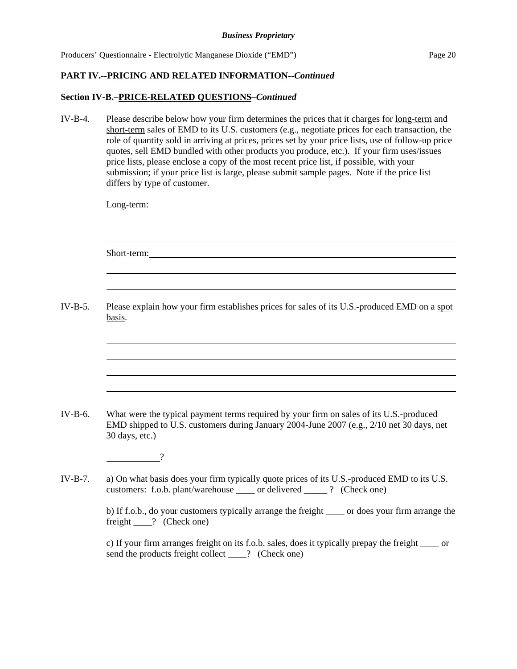## **Section IV-B.–PRICE-RELATED QUESTIONS–***Continued*

IV-B-4. Please describe below how your firm determines the prices that it charges for long-term and short-term sales of EMD to its U.S. customers (e.g., negotiate prices for each transaction, the role of quantity sold in arriving at prices, prices set by your price lists, use of follow-up price quotes, sell EMD bundled with other products you produce, etc.). If your firm uses/issues price lists, please enclose a copy of the most recent price list, if possible, with your submission; if your price list is large, please submit sample pages. Note if the price list differs by type of customer. Long-term: Short-term: 2008. The contract of the state of the state of the state of the state of the state of the state of the state of the state of the state of the state of the state of the state of the state of the state of the st IV-B-5. Please explain how your firm establishes prices for sales of its U.S.-produced EMD on a spot basis. IV-B-6. What were the typical payment terms required by your firm on sales of its U.S.-produced EMD shipped to U.S. customers during January 2004-June 2007 (e.g., 2/10 net 30 days, net 30 days, etc.) ? IV-B-7. a) On what basis does your firm typically quote prices of its U.S.-produced EMD to its U.S. customers: f.o.b. plant/warehouse \_\_\_\_ or delivered \_\_\_\_\_ ? (Check one) b) If f.o.b., do your customers typically arrange the freight \_\_\_\_ or does your firm arrange the freight ? (Check one) c) If your firm arranges freight on its f.o.b. sales, does it typically prepay the freight \_\_\_\_ or send the products freight collect  $\qquad$  ? (Check one)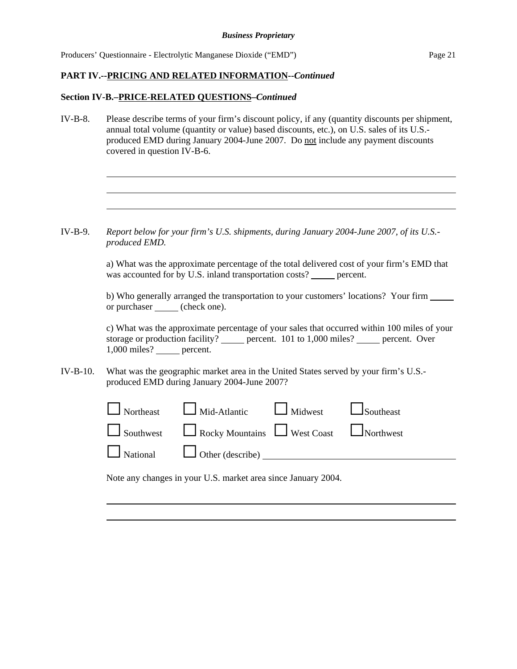## **PART IV.--PRICING AND RELATED INFORMATION--***Continued*

## **Section IV-B.–PRICE-RELATED QUESTIONS–***Continued*

IV-B-8. Please describe terms of your firm's discount policy, if any (quantity discounts per shipment, annual total volume (quantity or value) based discounts, etc.), on U.S. sales of its U.S. produced EMD during January 2004-June 2007. Do not include any payment discounts covered in question IV-B-6.

IV-B-9. *Report below for your firm's U.S. shipments, during January 2004-June 2007, of its U.S. produced EMD.*

> a) What was the approximate percentage of the total delivered cost of your firm's EMD that was accounted for by U.S. inland transportation costs? \_\_\_\_\_ percent.

b) Who generally arranged the transportation to your customers' locations? Your firm or purchaser (check one).

c) What was the approximate percentage of your sales that occurred within 100 miles of your storage or production facility? percent. 101 to 1,000 miles? percent. Over 1,000 miles? percent.

IV-B-10. What was the geographic market area in the United States served by your firm's U.S. produced EMD during January 2004-June 2007?

| $\Box$ Northeast $\Box$ Mid-Atlantic $\Box$ Midwest $\Box$ Southeast       |  |
|----------------------------------------------------------------------------|--|
| $\Box$ Southwest $\Box$ Rocky Mountains $\Box$ West Coast $\Box$ Northwest |  |
| National Other (describe) 1996                                             |  |
|                                                                            |  |

Note any changes in your U.S. market area since January 2004.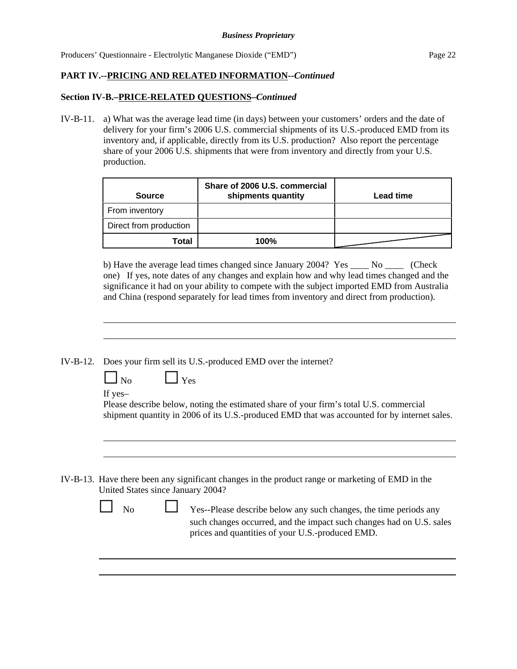## **PART IV.--PRICING AND RELATED INFORMATION--***Continued*

## **Section IV-B.–PRICE-RELATED QUESTIONS–***Continued*

IV-B-11. a) What was the average lead time (in days) between your customers' orders and the date of delivery for your firm's 2006 U.S. commercial shipments of its U.S.-produced EMD from its inventory and, if applicable, directly from its U.S. production? Also report the percentage share of your 2006 U.S. shipments that were from inventory and directly from your U.S. production.

| <b>Source</b>          | Share of 2006 U.S. commercial<br>shipments quantity | <b>Lead time</b> |
|------------------------|-----------------------------------------------------|------------------|
| From inventory         |                                                     |                  |
| Direct from production |                                                     |                  |
| Total                  | 100%                                                |                  |

b) Have the average lead times changed since January 2004? Yes \_\_\_\_ No \_\_\_\_ (Check one) If yes, note dates of any changes and explain how and why lead times changed and the significance it had on your ability to compete with the subject imported EMD from Australia and China (respond separately for lead times from inventory and direct from production).

IV-B-12. Does your firm sell its U.S.-produced EMD over the internet?

 $\Box$  No  $\Box$  Yes

If yes–

Please describe below, noting the estimated share of your firm's total U.S. commercial shipment quantity in 2006 of its U.S.-produced EMD that was accounted for by internet sales.

IV-B-13. Have there been any significant changes in the product range or marketing of EMD in the United States since January 2004?

| $\Box$ No | Yes--Please describe below any such changes, the time periods any                                                        |
|-----------|--------------------------------------------------------------------------------------------------------------------------|
|           | such changes occurred, and the impact such changes had on U.S. sales<br>prices and quantities of your U.S.-produced EMD. |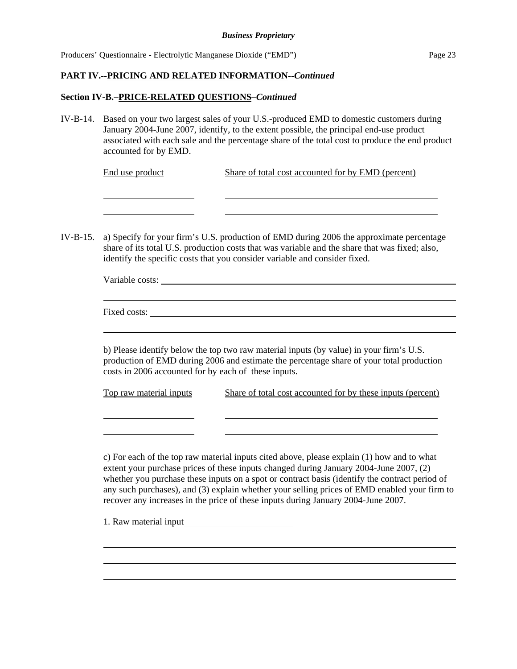## **PART IV.--PRICING AND RELATED INFORMATION--***Continued*

## **Section IV-B.–PRICE-RELATED QUESTIONS–***Continued*

IV-B-14. Based on your two largest sales of your U.S.-produced EMD to domestic customers during January 2004-June 2007, identify, to the extent possible, the principal end-use product associated with each sale and the percentage share of the total cost to produce the end product accounted for by EMD.

| End use product | Share of total cost accounted for by EMD (percent) |
|-----------------|----------------------------------------------------|
|                 |                                                    |

IV-B-15. a) Specify for your firm's U.S. production of EMD during 2006 the approximate percentage share of its total U.S. production costs that was variable and the share that was fixed; also, identify the specific costs that you consider variable and consider fixed.

| Variable costs: |  |  |  |  |
|-----------------|--|--|--|--|
|                 |  |  |  |  |
| Fixed costs:    |  |  |  |  |
|                 |  |  |  |  |

 b) Please identify below the top two raw material inputs (by value) in your firm's U.S. production of EMD during 2006 and estimate the percentage share of your total production costs in 2006 accounted for by each of these inputs.

| Top raw material inputs | Share of total cost accounted for by these inputs (percent) |  |
|-------------------------|-------------------------------------------------------------|--|
|                         |                                                             |  |

 c) For each of the top raw material inputs cited above, please explain (1) how and to what extent your purchase prices of these inputs changed during January 2004-June 2007, (2) whether you purchase these inputs on a spot or contract basis (identify the contract period of any such purchases), and (3) explain whether your selling prices of EMD enabled your firm to recover any increases in the price of these inputs during January 2004-June 2007.

1. Raw material input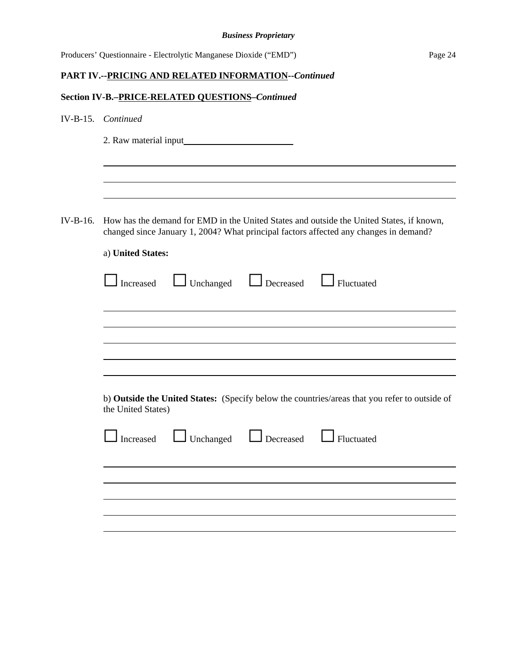|            | <b>Business Proprietary</b>                                                                                                                                                                            |         |
|------------|--------------------------------------------------------------------------------------------------------------------------------------------------------------------------------------------------------|---------|
|            | Producers' Questionnaire - Electrolytic Manganese Dioxide ("EMD")                                                                                                                                      | Page 24 |
|            | PART IV.--PRICING AND RELATED INFORMATION--Continued                                                                                                                                                   |         |
|            | Section IV-B.-PRICE-RELATED QUESTIONS-Continued                                                                                                                                                        |         |
|            | IV-B-15. Continued                                                                                                                                                                                     |         |
|            | 2. Raw material input                                                                                                                                                                                  |         |
|            |                                                                                                                                                                                                        |         |
|            |                                                                                                                                                                                                        |         |
| $IV-B-16.$ | How has the demand for EMD in the United States and outside the United States, if known,<br>changed since January 1, 2004? What principal factors affected any changes in demand?<br>a) United States: |         |
|            | Unchanged <b>L</b> Decreased <b>L</b> Fluctuated<br>$\Box$ Increased                                                                                                                                   |         |
|            |                                                                                                                                                                                                        |         |
|            |                                                                                                                                                                                                        |         |
|            |                                                                                                                                                                                                        |         |
|            | b) Outside the United States: (Specify below the countries/areas that you refer to outside of<br>the United States)                                                                                    |         |
|            | $\Box$ Increased $\Box$ Unchanged<br>Decreased <u>I</u> Fluctuated                                                                                                                                     |         |
|            |                                                                                                                                                                                                        |         |
|            |                                                                                                                                                                                                        |         |
|            |                                                                                                                                                                                                        |         |
|            |                                                                                                                                                                                                        |         |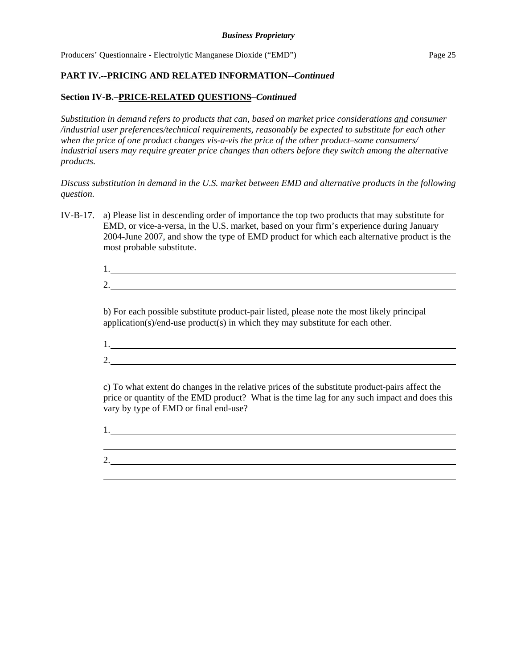## **PART IV.--PRICING AND RELATED INFORMATION--***Continued*

## **Section IV-B.–PRICE-RELATED QUESTIONS–***Continued*

*Substitution in demand refers to products that can, based on market price considerations and consumer /industrial user preferences/technical requirements, reasonably be expected to substitute for each other when the price of one product changes vis-a-vis the price of the other product–some consumers/ industrial users may require greater price changes than others before they switch among the alternative products.*

## *Discuss substitution in demand in the U.S. market between EMD and alternative products in the following question.*

IV-B-17. a) Please list in descending order of importance the top two products that may substitute for EMD, or vice-a-versa, in the U.S. market, based on your firm's experience during January 2004-June 2007, and show the type of EMD product for which each alternative product is the most probable substitute.

1.

2.

b) For each possible substitute product-pair listed, please note the most likely principal application(s)/end-use product(s) in which they may substitute for each other.

1. 2.

c) To what extent do changes in the relative prices of the substitute product-pairs affect the price or quantity of the EMD product? What is the time lag for any such impact and does this vary by type of EMD or final end-use?

1.

2.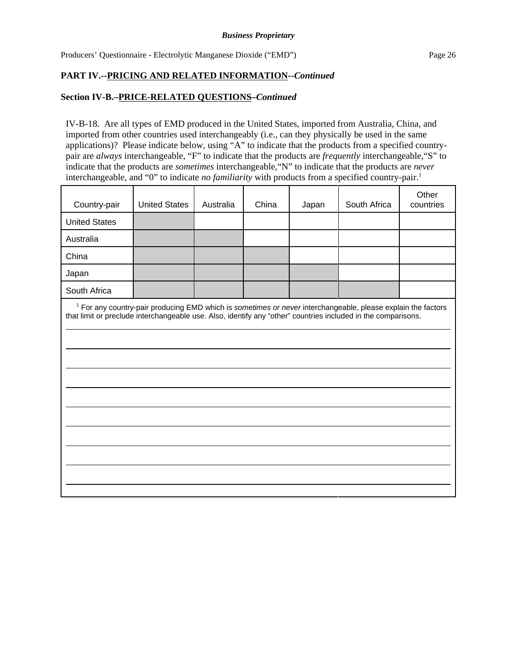## **PART IV.--PRICING AND RELATED INFORMATION--***Continued*

## **Section IV-B.–PRICE-RELATED QUESTIONS–***Continued*

IV-B-18. Are all types of EMD produced in the United States, imported from Australia, China, and imported from other countries used interchangeably (i.e., can they physically be used in the same applications)? Please indicate below, using "A" to indicate that the products from a specified countrypair are *always* interchangeable, "F" to indicate that the products are *frequently* interchangeable,"S" to indicate that the products are *sometimes* interchangeable,"N" to indicate that the products are *never* interchangeable, and "0" to indicate *no familiarity* with products from a specified country-pair.<sup>1</sup>

| Country-pair                                                                                                  | <b>United States</b> | Australia | China | Japan | South Africa                                                                                                            | Other<br>countries |
|---------------------------------------------------------------------------------------------------------------|----------------------|-----------|-------|-------|-------------------------------------------------------------------------------------------------------------------------|--------------------|
| <b>United States</b>                                                                                          |                      |           |       |       |                                                                                                                         |                    |
| Australia                                                                                                     |                      |           |       |       |                                                                                                                         |                    |
| China                                                                                                         |                      |           |       |       |                                                                                                                         |                    |
| Japan                                                                                                         |                      |           |       |       |                                                                                                                         |                    |
| South Africa                                                                                                  |                      |           |       |       |                                                                                                                         |                    |
| that limit or preclude interchangeable use. Also, identify any "other" countries included in the comparisons. |                      |           |       |       | <sup>1</sup> For any country-pair producing EMD which is sometimes or never interchangeable, please explain the factors |                    |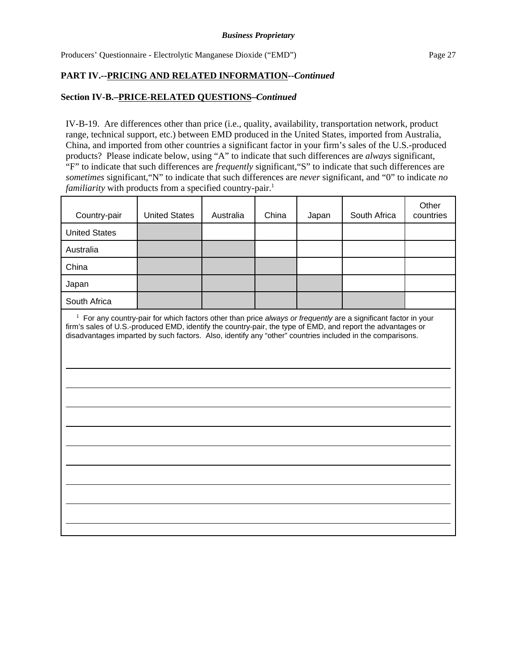## **PART IV.--PRICING AND RELATED INFORMATION--***Continued*

## **Section IV-B.–PRICE-RELATED QUESTIONS–***Continued*

IV-B-19. Are differences other than price (i.e., quality, availability, transportation network, product range, technical support, etc.) between EMD produced in the United States, imported from Australia, China, and imported from other countries a significant factor in your firm's sales of the U.S.-produced products? Please indicate below, using "A" to indicate that such differences are *always* significant, "F" to indicate that such differences are *frequently* significant,"S" to indicate that such differences are *sometimes* significant,"N" to indicate that such differences are *never* significant, and "0" to indicate *no familiarity* with products from a specified country-pair.<sup>1</sup>

| <b>United States</b> | Australia | China | Japan | South Africa | Other<br>countries                                                                                                                                                                                                                                                                                                                                     |
|----------------------|-----------|-------|-------|--------------|--------------------------------------------------------------------------------------------------------------------------------------------------------------------------------------------------------------------------------------------------------------------------------------------------------------------------------------------------------|
|                      |           |       |       |              |                                                                                                                                                                                                                                                                                                                                                        |
|                      |           |       |       |              |                                                                                                                                                                                                                                                                                                                                                        |
|                      |           |       |       |              |                                                                                                                                                                                                                                                                                                                                                        |
|                      |           |       |       |              |                                                                                                                                                                                                                                                                                                                                                        |
|                      |           |       |       |              |                                                                                                                                                                                                                                                                                                                                                        |
|                      |           |       |       |              |                                                                                                                                                                                                                                                                                                                                                        |
|                      |           |       |       |              | <sup>1</sup> For any country-pair for which factors other than price always or frequently are a significant factor in your<br>firm's sales of U.S.-produced EMD, identify the country-pair, the type of EMD, and report the advantages or<br>disadvantages imparted by such factors. Also, identify any "other" countries included in the comparisons. |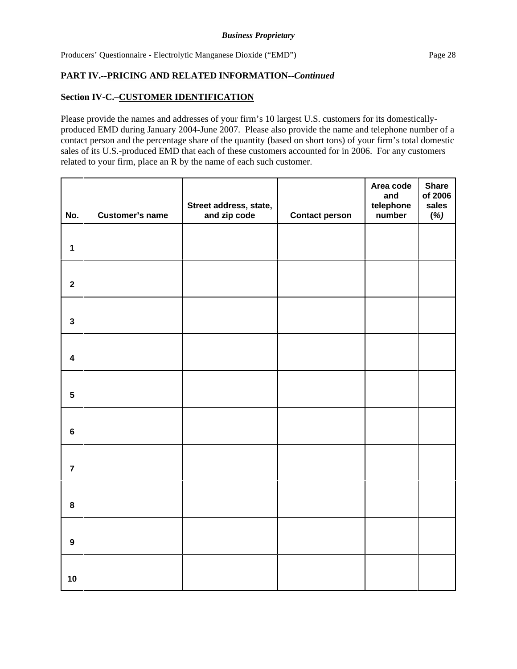## **Section IV-C.–CUSTOMER IDENTIFICATION**

Please provide the names and addresses of your firm's 10 largest U.S. customers for its domesticallyproduced EMD during January 2004-June 2007. Please also provide the name and telephone number of a contact person and the percentage share of the quantity (based on short tons) of your firm's total domestic sales of its U.S.-produced EMD that each of these customers accounted for in 2006. For any customers related to your firm, place an R by the name of each such customer.

| No.                     | <b>Customer's name</b> | Street address, state,<br>and zip code | <b>Contact person</b> | Area code<br>and<br>telephone<br>number | <b>Share</b><br>of 2006<br>sales<br>(%) |
|-------------------------|------------------------|----------------------------------------|-----------------------|-----------------------------------------|-----------------------------------------|
| $\mathbf{1}$            |                        |                                        |                       |                                         |                                         |
| $\mathbf{2}$            |                        |                                        |                       |                                         |                                         |
| $\mathbf{3}$            |                        |                                        |                       |                                         |                                         |
| $\overline{\mathbf{4}}$ |                        |                                        |                       |                                         |                                         |
| $\overline{\mathbf{5}}$ |                        |                                        |                       |                                         |                                         |
| $\bf 6$                 |                        |                                        |                       |                                         |                                         |
| $\overline{7}$          |                        |                                        |                       |                                         |                                         |
| 8                       |                        |                                        |                       |                                         |                                         |
| $\boldsymbol{9}$        |                        |                                        |                       |                                         |                                         |
| 10                      |                        |                                        |                       |                                         |                                         |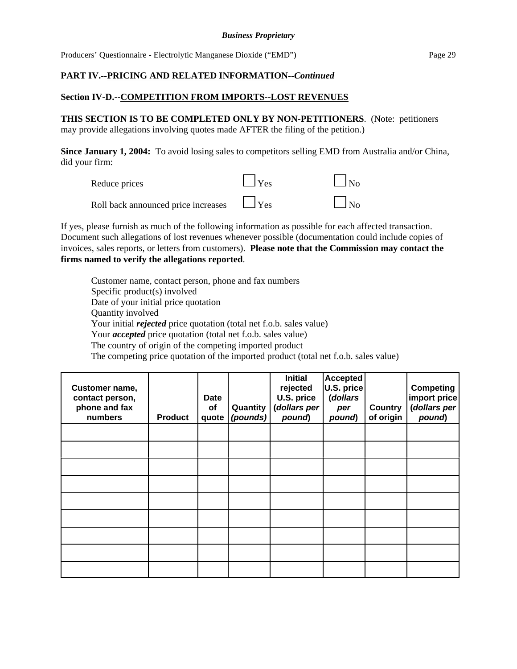## **PART IV.--PRICING AND RELATED INFORMATION--***Continued*

## **Section IV-D.--COMPETITION FROM IMPORTS--LOST REVENUES**

**THIS SECTION IS TO BE COMPLETED ONLY BY NON-PETITIONERS**. (Note: petitioners may provide allegations involving quotes made AFTER the filing of the petition.)

**Since January 1, 2004:** To avoid losing sales to competitors selling EMD from Australia and/or China, did your firm:

| Reduce prices                       | $\Box$ Yes | $\Box$ No |
|-------------------------------------|------------|-----------|
| Roll back announced price increases | $\Box$ Yes | $\Box$ No |

If yes, please furnish as much of the following information as possible for each affected transaction. Document such allegations of lost revenues whenever possible (documentation could include copies of invoices, sales reports, or letters from customers). **Please note that the Commission may contact the firms named to verify the allegations reported**.

Customer name, contact person, phone and fax numbers Specific product(s) involved Date of your initial price quotation Quantity involved Your initial *rejected* price quotation (total net f.o.b. sales value) Your *accepted* price quotation (total net f.o.b. sales value) The country of origin of the competing imported product The competing price quotation of the imported product (total net f.o.b. sales value)

| Customer name,<br>contact person,<br>phone and fax<br>numbers | <b>Product</b> | <b>Date</b><br>οf<br>quote | Quantity<br>(pounds) | <b>Initial</b><br>rejected<br>U.S. price<br>(dollars per<br>pound) | <b>Accepted</b><br>U.S. price<br>(dollars<br>per<br>pound) | <b>Country</b><br>of origin | <b>Competing</b><br>import price<br>(dollars per<br>pound) |
|---------------------------------------------------------------|----------------|----------------------------|----------------------|--------------------------------------------------------------------|------------------------------------------------------------|-----------------------------|------------------------------------------------------------|
|                                                               |                |                            |                      |                                                                    |                                                            |                             |                                                            |
|                                                               |                |                            |                      |                                                                    |                                                            |                             |                                                            |
|                                                               |                |                            |                      |                                                                    |                                                            |                             |                                                            |
|                                                               |                |                            |                      |                                                                    |                                                            |                             |                                                            |
|                                                               |                |                            |                      |                                                                    |                                                            |                             |                                                            |
|                                                               |                |                            |                      |                                                                    |                                                            |                             |                                                            |
|                                                               |                |                            |                      |                                                                    |                                                            |                             |                                                            |
|                                                               |                |                            |                      |                                                                    |                                                            |                             |                                                            |
|                                                               |                |                            |                      |                                                                    |                                                            |                             |                                                            |